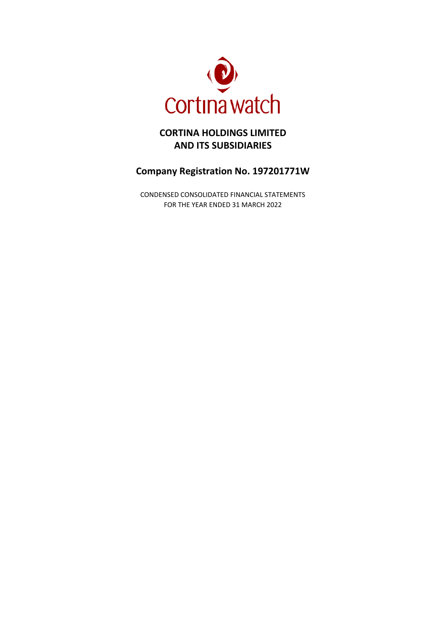

# **CORTINA HOLDINGS LIMITED AND ITS SUBSIDIARIES**

# **Company Registration No. 197201771W**

CONDENSED CONSOLIDATED FINANCIAL STATEMENTS FOR THE YEAR ENDED 31 MARCH 2022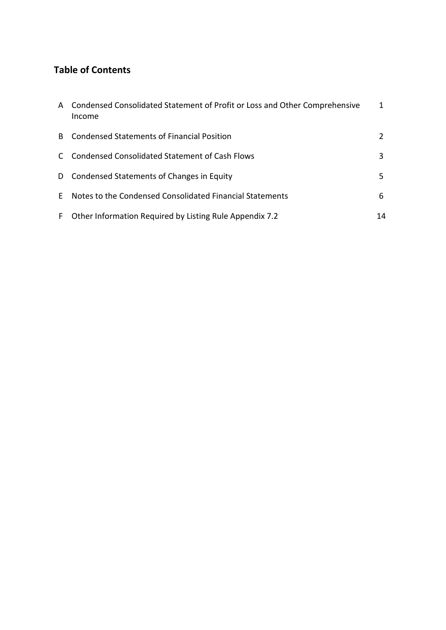# **Table of Contents**

| A Condensed Consolidated Statement of Profit or Loss and Other Comprehensive<br>Income |    |
|----------------------------------------------------------------------------------------|----|
| B Condensed Statements of Financial Position                                           | 2  |
| C Condensed Consolidated Statement of Cash Flows                                       | 3  |
| D Condensed Statements of Changes in Equity                                            | 5. |
| E Notes to the Condensed Consolidated Financial Statements                             | 6  |
| F Other Information Required by Listing Rule Appendix 7.2                              | 14 |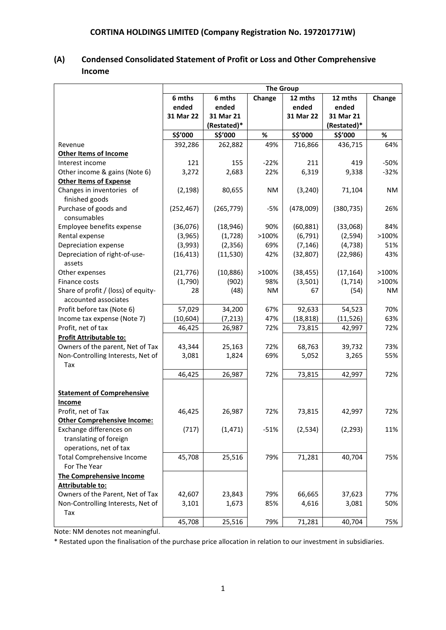| (A) | <b>Condensed Consolidated Statement of Profit or Loss and Other Comprehensive</b> |
|-----|-----------------------------------------------------------------------------------|
|     | <b>Income</b>                                                                     |

|                                                             | <b>The Group</b> |             |           |           |             |           |
|-------------------------------------------------------------|------------------|-------------|-----------|-----------|-------------|-----------|
|                                                             | 6 mths           | 6 mths      | Change    | 12 mths   | 12 mths     | Change    |
|                                                             | ended            | ended       |           | ended     | ended       |           |
|                                                             | 31 Mar 22        | 31 Mar 21   |           | 31 Mar 22 | 31 Mar 21   |           |
|                                                             |                  | (Restated)* |           |           | (Restated)* |           |
|                                                             | S\$'000          | S\$'000     | %         | S\$'000   | S\$'000     | $\%$      |
| Revenue                                                     | 392,286          | 262,882     | 49%       | 716,866   | 436,715     | 64%       |
| <b>Other Items of Income</b>                                |                  |             |           |           |             |           |
| Interest income                                             | 121              | 155         | $-22%$    | 211       | 419         | $-50%$    |
| Other income & gains (Note 6)                               | 3,272            | 2,683       | 22%       | 6,319     | 9,338       | $-32%$    |
| <b>Other Items of Expense</b>                               |                  |             |           |           |             |           |
| Changes in inventories of                                   | (2, 198)         | 80,655      | <b>NM</b> | (3, 240)  | 71,104      | <b>NM</b> |
| finished goods                                              |                  |             |           |           |             |           |
| Purchase of goods and                                       | (252, 467)       | (265, 779)  | $-5%$     | (478,009) | (380, 735)  | 26%       |
| consumables                                                 |                  |             |           |           |             |           |
| Employee benefits expense                                   | (36,076)         | (18, 946)   | 90%       | (60, 881) | (33,068)    | 84%       |
| Rental expense                                              | (3,965)          | (1,728)     | >100%     | (6, 791)  | (2,594)     | >100%     |
| Depreciation expense                                        | (3,993)          | (2,356)     | 69%       | (7, 146)  | (4, 738)    | 51%       |
| Depreciation of right-of-use-<br>assets                     | (16, 413)        | (11, 530)   | 42%       | (32, 807) | (22, 986)   | 43%       |
| Other expenses                                              | (21, 776)        | (10, 886)   | >100%     | (38, 455) | (17, 164)   | >100%     |
| Finance costs                                               | (1,790)          | (902)       | 98%       | (3,501)   | (1,714)     | >100%     |
| Share of profit / (loss) of equity-<br>accounted associates | 28               | (48)        | <b>NM</b> | 67        | (54)        | <b>NM</b> |
| Profit before tax (Note 6)                                  | 57,029           | 34,200      | 67%       | 92,633    | 54,523      | 70%       |
| Income tax expense (Note 7)                                 | (10, 604)        | (7, 213)    | 47%       | (18, 818) | (11, 526)   | 63%       |
| Profit, net of tax                                          | 46,425           | 26,987      | 72%       | 73,815    | 42,997      | 72%       |
| Profit Attributable to:                                     |                  |             |           |           |             |           |
| Owners of the parent, Net of Tax                            | 43,344           | 25,163      | 72%       | 68,763    | 39,732      | 73%       |
| Non-Controlling Interests, Net of                           | 3,081            | 1,824       | 69%       | 5,052     | 3,265       | 55%       |
| Tax                                                         |                  |             |           |           |             |           |
|                                                             | 46,425           | 26,987      | 72%       | 73,815    | 42,997      | 72%       |
|                                                             |                  |             |           |           |             |           |
| <b>Statement of Comprehensive</b>                           |                  |             |           |           |             |           |
| Income                                                      |                  |             |           |           |             |           |
| Profit, net of Tax                                          | 46,425           | 26,987      | 72%       | 73,815    | 42,997      | 72%       |
| <b>Other Comprehensive Income:</b>                          |                  |             |           |           |             |           |
| Exchange differences on                                     | (717)            | (1, 471)    | $-51%$    | (2, 534)  | (2, 293)    | 11%       |
| translating of foreign                                      |                  |             |           |           |             |           |
| operations, net of tax                                      |                  |             |           |           |             |           |
| <b>Total Comprehensive Income</b><br>For The Year           | 45,708           | 25,516      | 79%       | 71,281    | 40,704      | 75%       |
| The Comprehensive Income                                    |                  |             |           |           |             |           |
| Attributable to:                                            |                  |             |           |           |             |           |
| Owners of the Parent, Net of Tax                            | 42,607           | 23,843      | 79%       | 66,665    | 37,623      | 77%       |
| Non-Controlling Interests, Net of<br>Tax                    | 3,101            | 1,673       | 85%       | 4,616     | 3,081       | 50%       |
|                                                             | 45,708           | 25,516      | 79%       | 71,281    | 40,704      | 75%       |

Note: NM denotes not meaningful.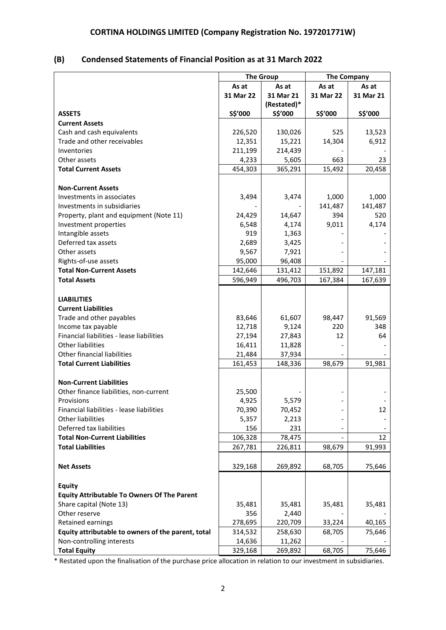# **(B) Condensed Statements of Financial Position as at 31 March 2022**

|                                                    | <b>The Group</b>  |                  | <b>The Company</b> |           |
|----------------------------------------------------|-------------------|------------------|--------------------|-----------|
|                                                    | As at             | As at            | As at              | As at     |
|                                                    | 31 Mar 22         | 31 Mar 21        | 31 Mar 22          | 31 Mar 21 |
|                                                    |                   | (Restated)*      |                    |           |
| <b>ASSETS</b>                                      | S\$'000           | S\$'000          | S\$'000            | S\$'000   |
| <b>Current Assets</b>                              |                   |                  |                    |           |
| Cash and cash equivalents                          | 226,520           | 130,026          | 525                | 13,523    |
| Trade and other receivables                        | 12,351            | 15,221           | 14,304             | 6,912     |
| Inventories                                        | 211,199           | 214,439          |                    |           |
| Other assets                                       | 4,233             | 5,605            | 663                | 23        |
| <b>Total Current Assets</b>                        | 454,303           | 365,291          | 15,492             | 20,458    |
|                                                    |                   |                  |                    |           |
| <b>Non-Current Assets</b>                          |                   |                  |                    |           |
| Investments in associates                          | 3,494             | 3,474            | 1,000              | 1,000     |
| Investments in subsidiaries                        |                   |                  | 141,487            | 141,487   |
| Property, plant and equipment (Note 11)            | 24,429            | 14,647           | 394                | 520       |
| Investment properties                              | 6,548             | 4,174            | 9,011              | 4,174     |
| Intangible assets                                  | 919               | 1,363            |                    |           |
| Deferred tax assets                                | 2,689             | 3,425            |                    |           |
| Other assets                                       | 9,567             | 7,921            |                    |           |
| Rights-of-use assets                               | 95,000            | 96,408           |                    |           |
| <b>Total Non-Current Assets</b>                    | 142,646           | 131,412          | 151,892            | 147,181   |
| <b>Total Assets</b>                                | 596,949           | 496,703          | 167,384            | 167,639   |
|                                                    |                   |                  |                    |           |
| <b>LIABILITIES</b>                                 |                   |                  |                    |           |
| <b>Current Liabilities</b>                         |                   |                  |                    |           |
| Trade and other payables                           | 83,646            | 61,607           | 98,447             | 91,569    |
| Income tax payable                                 | 12,718            | 9,124            | 220                | 348       |
| Financial liabilities - lease liabilities          | 27,194            | 27,843           | 12                 | 64        |
| <b>Other liabilities</b>                           | 16,411            | 11,828           |                    |           |
| <b>Other financial liabilities</b>                 | 21,484            | 37,934           |                    |           |
| <b>Total Current Liabilities</b>                   | 161,453           | 148,336          | 98,679             | 91,981    |
|                                                    |                   |                  |                    |           |
| <b>Non-Current Liabilities</b>                     |                   |                  |                    |           |
| Other finance liabilities, non-current             | 25,500            |                  |                    |           |
| Provisions                                         | 4,925             | 5,579            |                    |           |
| Financial liabilities - lease liabilities          | 70,390            | 70,452           |                    | 12        |
| Other liabilities<br>Deferred tax liabilities      | 5,357             | 2,213            |                    |           |
| <b>Total Non-Current Liabilities</b>               | 156               | 231              |                    | 12        |
| <b>Total Liabilities</b>                           | 106,328           | 78,475           |                    |           |
|                                                    | 267,781           | 226,811          | 98,679             | 91,993    |
|                                                    |                   | 269,892          |                    |           |
| <b>Net Assets</b>                                  | 329,168           |                  | 68,705             | 75,646    |
|                                                    |                   |                  |                    |           |
| Equity                                             |                   |                  |                    |           |
| <b>Equity Attributable To Owners Of The Parent</b> |                   |                  |                    |           |
| Share capital (Note 13)<br>Other reserve           | 35,481            | 35,481           | 35,481             | 35,481    |
| Retained earnings                                  | 356<br>278,695    | 2,440<br>220,709 | 33,224             | 40,165    |
| Equity attributable to owners of the parent, total |                   | 258,630          |                    | 75,646    |
| Non-controlling interests                          | 314,532<br>14,636 | 11,262           | 68,705             |           |
| <b>Total Equity</b>                                | 329,168           | 269,892          | 68,705             | 75,646    |
|                                                    |                   |                  |                    |           |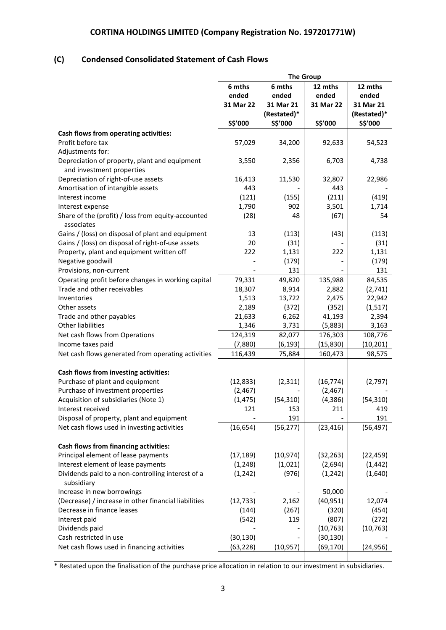# **(C) Condensed Consolidated Statement of Cash Flows**

|                                                      | <b>The Group</b> |             |           |             |  |
|------------------------------------------------------|------------------|-------------|-----------|-------------|--|
|                                                      | 6 mths           | 6 mths      | 12 mths   | 12 mths     |  |
|                                                      | ended            | ended       | ended     | ended       |  |
|                                                      | 31 Mar 22        | 31 Mar 21   | 31 Mar 22 | 31 Mar 21   |  |
|                                                      |                  | (Restated)* |           | (Restated)* |  |
|                                                      | S\$'000          | S\$'000     | S\$'000   | S\$'000     |  |
| Cash flows from operating activities:                |                  |             |           |             |  |
| Profit before tax                                    | 57,029           | 34,200      | 92,633    | 54,523      |  |
| Adjustments for:                                     |                  |             |           |             |  |
| Depreciation of property, plant and equipment        | 3,550            | 2,356       | 6,703     | 4,738       |  |
| and investment properties                            |                  |             |           |             |  |
| Depreciation of right-of-use assets                  | 16,413           | 11,530      | 32,807    | 22,986      |  |
| Amortisation of intangible assets                    | 443              |             | 443       |             |  |
| Interest income                                      | (121)            | (155)       | (211)     | (419)       |  |
| Interest expense                                     | 1,790            | 902         | 3,501     | 1,714       |  |
| Share of the (profit) / loss from equity-accounted   | (28)             | 48          | (67)      | 54          |  |
| associates                                           |                  |             |           |             |  |
| Gains / (loss) on disposal of plant and equipment    | 13               | (113)       | (43)      | (113)       |  |
| Gains / (loss) on disposal of right-of-use assets    | 20               | (31)        |           | (31)        |  |
| Property, plant and equipment written off            | 222              | 1,131       | 222       | 1,131       |  |
| Negative goodwill                                    |                  | (179)       |           | (179)       |  |
| Provisions, non-current                              |                  | 131         |           | 131         |  |
| Operating profit before changes in working capital   | 79,331           | 49,820      | 135,988   | 84,535      |  |
| Trade and other receivables                          | 18,307           | 8,914       | 2,882     | (2,741)     |  |
| Inventories                                          | 1,513            | 13,722      | 2,475     | 22,942      |  |
| Other assets                                         | 2,189            | (372)       | (352)     | (1, 517)    |  |
| Trade and other payables                             | 21,633           | 6,262       | 41,193    | 2,394       |  |
| Other liabilities                                    | 1,346            | 3,731       | (5,883)   | 3,163       |  |
| Net cash flows from Operations                       | 124,319          | 82,077      | 176,303   | 108,776     |  |
| Income taxes paid                                    | (7,880)          | (6, 193)    | (15, 830) | (10, 201)   |  |
| Net cash flows generated from operating activities   | 116,439          | 75,884      | 160,473   | 98,575      |  |
| Cash flows from investing activities:                |                  |             |           |             |  |
| Purchase of plant and equipment                      | (12, 833)        | (2, 311)    | (16, 774) | (2,797)     |  |
| Purchase of investment properties                    | (2, 467)         |             | (2, 467)  |             |  |
| Acquisition of subsidiaries (Note 1)                 | (1, 475)         | (54, 310)   | (4, 386)  | (54, 310)   |  |
| Interest received                                    | 121              | 153         | 211       | 419         |  |
| Disposal of property, plant and equipment            |                  | 191         |           | 191         |  |
| Net cash flows used in investing activities          | (16, 654)        | (56, 277)   | (23, 416) | (56, 497)   |  |
|                                                      |                  |             |           |             |  |
| Cash flows from financing activities:                |                  |             |           |             |  |
| Principal element of lease payments                  | (17, 189)        | (10, 974)   | (32, 263) | (22, 459)   |  |
| Interest element of lease payments                   | (1, 248)         | (1,021)     | (2,694)   | (1, 442)    |  |
| Dividends paid to a non-controlling interest of a    | (1, 242)         | (976)       | (1, 242)  | (1,640)     |  |
| subsidiary                                           |                  |             |           |             |  |
| Increase in new borrowings                           |                  |             | 50,000    |             |  |
| (Decrease) / increase in other financial liabilities | (12, 733)        | 2,162       | (40, 951) | 12,074      |  |
| Decrease in finance leases                           | (144)            | (267)       | (320)     | (454)       |  |
| Interest paid                                        | (542)            | 119         | (807)     | (272)       |  |
| Dividends paid                                       |                  |             | (10, 763) | (10, 763)   |  |
| Cash restricted in use                               | (30, 130)        |             | (30, 130) |             |  |
| Net cash flows used in financing activities          | (63, 228)        | (10, 957)   | (69, 170) | (24, 956)   |  |
|                                                      |                  |             |           |             |  |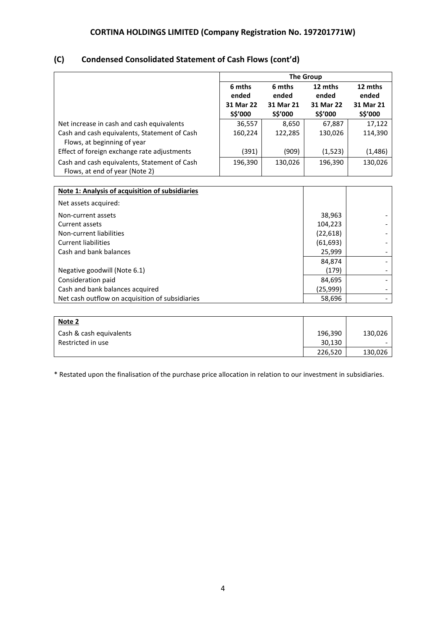# **(C) Condensed Consolidated Statement of Cash Flows (cont'd)**

|                                                                                |                      | <b>The Group</b>     |                      |                      |  |  |
|--------------------------------------------------------------------------------|----------------------|----------------------|----------------------|----------------------|--|--|
|                                                                                | 6 mths<br>ended      | 6 mths<br>ended      | 12 mths<br>ended     | 12 mths<br>ended     |  |  |
|                                                                                | 31 Mar 22<br>S\$'000 | 31 Mar 21<br>S\$'000 | 31 Mar 22<br>S\$'000 | 31 Mar 21<br>S\$'000 |  |  |
| Net increase in cash and cash equivalents                                      | 36,557               | 8,650                | 67,887               | 17,122               |  |  |
| Cash and cash equivalents, Statement of Cash<br>Flows, at beginning of year    | 160,224              | 122,285              | 130,026              | 114,390              |  |  |
| Effect of foreign exchange rate adjustments                                    | (391)                | (909)                | (1, 523)             | (1, 486)             |  |  |
| Cash and cash equivalents, Statement of Cash<br>Flows, at end of year (Note 2) | 196,390              | 130,026              | 196,390              | 130,026              |  |  |
|                                                                                |                      |                      |                      |                      |  |  |
| Note 1: Analysis of acquisition of subsidiaries                                |                      |                      |                      |                      |  |  |
| Net assets acquired:                                                           |                      |                      |                      |                      |  |  |
| Non-current assets                                                             |                      |                      | 38,963               |                      |  |  |
| Current assets                                                                 |                      |                      | 104,223              |                      |  |  |
| Non-current liabilities                                                        |                      |                      | (22, 618)            |                      |  |  |
| Current liabilities                                                            |                      |                      | (61.693)             |                      |  |  |

| Cash and bank balances                          | 25.999   |  |
|-------------------------------------------------|----------|--|
|                                                 |          |  |
|                                                 | 84.874   |  |
| Negative goodwill (Note 6.1)                    | (179)    |  |
| Consideration paid                              | 84.695   |  |
| Cash and bank balances acquired                 | (25.999) |  |
| Net cash outflow on acquisition of subsidiaries | 58,696   |  |

| Note 2                  |         |         |
|-------------------------|---------|---------|
| Cash & cash equivalents | 196,390 | 130,026 |
| Restricted in use       | 30,130  |         |
|                         | 226,520 | 130,026 |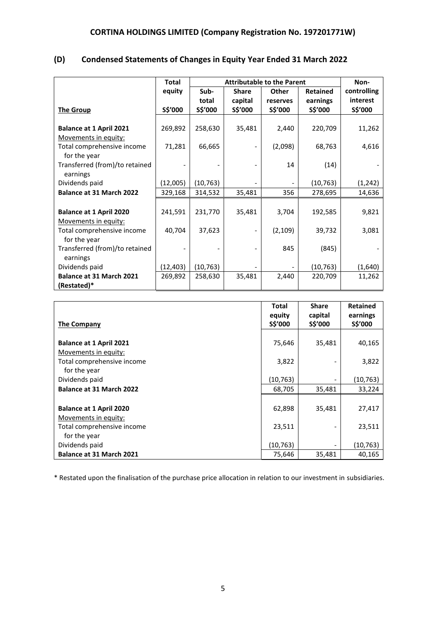|                                 | <b>Total</b> |           | <b>Attributable to the Parent</b> |          |                 |             |  |
|---------------------------------|--------------|-----------|-----------------------------------|----------|-----------------|-------------|--|
|                                 | equity       | Sub-      | <b>Share</b>                      | Other    | <b>Retained</b> | controlling |  |
|                                 |              | total     | capital                           | reserves | earnings        | interest    |  |
| <b>The Group</b>                | S\$'000      | S\$'000   | S\$'000                           | S\$'000  | S\$'000         | S\$'000     |  |
|                                 |              |           |                                   |          |                 |             |  |
| <b>Balance at 1 April 2021</b>  | 269,892      | 258,630   | 35,481                            | 2,440    | 220,709         | 11,262      |  |
| Movements in equity:            |              |           |                                   |          |                 |             |  |
| Total comprehensive income      | 71,281       | 66,665    |                                   | (2,098)  | 68,763          | 4,616       |  |
| for the year                    |              |           |                                   |          |                 |             |  |
| Transferred (from)/to retained  |              |           |                                   | 14       | (14)            |             |  |
| earnings                        |              |           |                                   |          |                 |             |  |
| Dividends paid                  | (12,005)     | (10, 763) |                                   |          | (10, 763)       | (1, 242)    |  |
| <b>Balance at 31 March 2022</b> | 329,168      | 314,532   | 35,481                            | 356      | 278,695         | 14,636      |  |
|                                 |              |           |                                   |          |                 |             |  |
| <b>Balance at 1 April 2020</b>  | 241,591      | 231,770   | 35,481                            | 3,704    | 192,585         | 9,821       |  |
| Movements in equity:            |              |           |                                   |          |                 |             |  |
| Total comprehensive income      | 40,704       | 37,623    |                                   | (2, 109) | 39,732          | 3,081       |  |
| for the year                    |              |           |                                   |          |                 |             |  |
| Transferred (from)/to retained  |              |           |                                   | 845      | (845)           |             |  |
| earnings                        |              |           |                                   |          |                 |             |  |
| Dividends paid                  | (12,403)     | (10, 763) |                                   |          | (10, 763)       | (1,640)     |  |
| Balance at 31 March 2021        | 269,892      | 258,630   | 35,481                            | 2,440    | 220,709         | 11,262      |  |
| (Restated)*                     |              |           |                                   |          |                 |             |  |

# **(D) Condensed Statements of Changes in Equity Year Ended 31 March 2022**

|                                 | <b>Total</b><br>equity<br>S\$'000 | <b>Share</b><br>capital<br>S\$'000 | <b>Retained</b><br>earnings<br>S\$'000 |
|---------------------------------|-----------------------------------|------------------------------------|----------------------------------------|
| <b>The Company</b>              |                                   |                                    |                                        |
| <b>Balance at 1 April 2021</b>  | 75,646                            | 35,481                             | 40,165                                 |
| Movements in equity:            |                                   |                                    |                                        |
| Total comprehensive income      | 3,822                             |                                    | 3,822                                  |
| for the year                    |                                   |                                    |                                        |
| Dividends paid                  | (10, 763)                         |                                    | (10, 763)                              |
| <b>Balance at 31 March 2022</b> | 68,705                            | 35,481                             | 33,224                                 |
|                                 |                                   |                                    |                                        |
| <b>Balance at 1 April 2020</b>  | 62,898                            | 35,481                             | 27,417                                 |
| Movements in equity:            |                                   |                                    |                                        |
| Total comprehensive income      | 23,511                            |                                    | 23,511                                 |
| for the year                    |                                   |                                    |                                        |
| Dividends paid                  | (10, 763)                         |                                    | (10,763)                               |
| Balance at 31 March 2021        | 75,646                            | 35,481                             | 40,165                                 |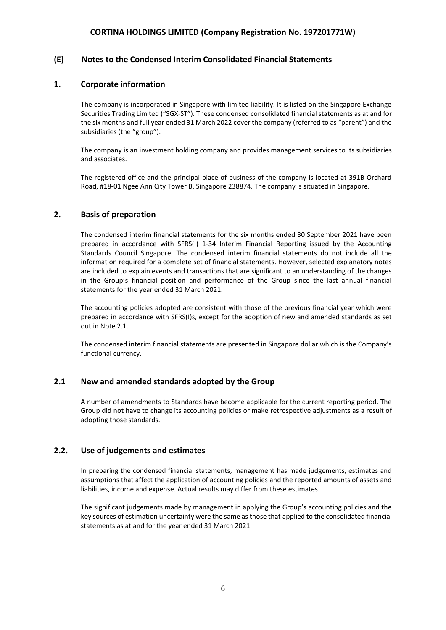### **(E) Notes to the Condensed Interim Consolidated Financial Statements**

#### **1. Corporate information**

The company is incorporated in Singapore with limited liability. It is listed on the Singapore Exchange Securities Trading Limited ("SGX-ST"). These condensed consolidated financial statements as at and for the six months and full year ended 31 March 2022 cover the company (referred to as "parent") and the subsidiaries (the "group").

The company is an investment holding company and provides management services to its subsidiaries and associates.

The registered office and the principal place of business of the company is located at 391B Orchard Road, #18-01 Ngee Ann City Tower B, Singapore 238874. The company is situated in Singapore.

#### **2. Basis of preparation**

The condensed interim financial statements for the six months ended 30 September 2021 have been prepared in accordance with SFRS(I) 1-34 Interim Financial Reporting issued by the Accounting Standards Council Singapore. The condensed interim financial statements do not include all the information required for a complete set of financial statements. However, selected explanatory notes are included to explain events and transactions that are significant to an understanding of the changes in the Group's financial position and performance of the Group since the last annual financial statements for the year ended 31 March 2021.

The accounting policies adopted are consistent with those of the previous financial year which were prepared in accordance with SFRS(I)s, except for the adoption of new and amended standards as set out in Note 2.1.

The condensed interim financial statements are presented in Singapore dollar which is the Company's functional currency.

#### **2.1 New and amended standards adopted by the Group**

A number of amendments to Standards have become applicable for the current reporting period. The Group did not have to change its accounting policies or make retrospective adjustments as a result of adopting those standards.

#### **2.2. Use of judgements and estimates**

In preparing the condensed financial statements, management has made judgements, estimates and assumptions that affect the application of accounting policies and the reported amounts of assets and liabilities, income and expense. Actual results may differ from these estimates.

The significant judgements made by management in applying the Group's accounting policies and the key sources of estimation uncertainty were the same as those that applied to the consolidated financial statements as at and for the year ended 31 March 2021.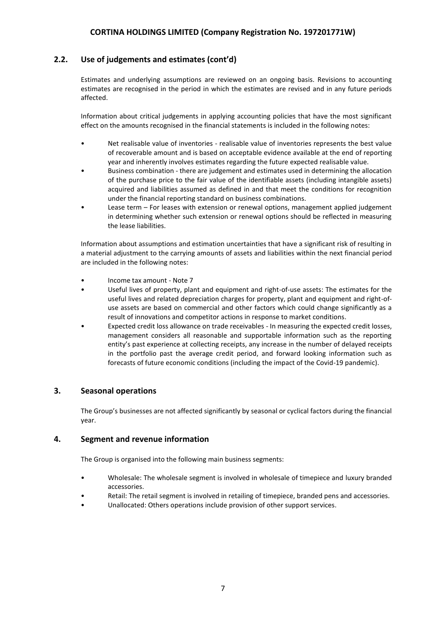### **2.2. Use of judgements and estimates (cont'd)**

Estimates and underlying assumptions are reviewed on an ongoing basis. Revisions to accounting estimates are recognised in the period in which the estimates are revised and in any future periods affected.

Information about critical judgements in applying accounting policies that have the most significant effect on the amounts recognised in the financial statements is included in the following notes:

- Net realisable value of inventories realisable value of inventories represents the best value of recoverable amount and is based on acceptable evidence available at the end of reporting year and inherently involves estimates regarding the future expected realisable value.
- Business combination there are judgement and estimates used in determining the allocation of the purchase price to the fair value of the identifiable assets (including intangible assets) acquired and liabilities assumed as defined in and that meet the conditions for recognition under the financial reporting standard on business combinations.
- Lease term For leases with extension or renewal options, management applied judgement in determining whether such extension or renewal options should be reflected in measuring the lease liabilities.

Information about assumptions and estimation uncertainties that have a significant risk of resulting in a material adjustment to the carrying amounts of assets and liabilities within the next financial period are included in the following notes:

- Income tax amount Note 7
- Useful lives of property, plant and equipment and right-of-use assets: The estimates for the useful lives and related depreciation charges for property, plant and equipment and right-ofuse assets are based on commercial and other factors which could change significantly as a result of innovations and competitor actions in response to market conditions.
- Expected credit loss allowance on trade receivables In measuring the expected credit losses, management considers all reasonable and supportable information such as the reporting entity's past experience at collecting receipts, any increase in the number of delayed receipts in the portfolio past the average credit period, and forward looking information such as forecasts of future economic conditions (including the impact of the Covid-19 pandemic).

#### **3. Seasonal operations**

The Group's businesses are not affected significantly by seasonal or cyclical factors during the financial year.

### **4. Segment and revenue information**

The Group is organised into the following main business segments:

- Wholesale: The wholesale segment is involved in wholesale of timepiece and luxury branded accessories.
- Retail: The retail segment is involved in retailing of timepiece, branded pens and accessories.
- Unallocated: Others operations include provision of other support services.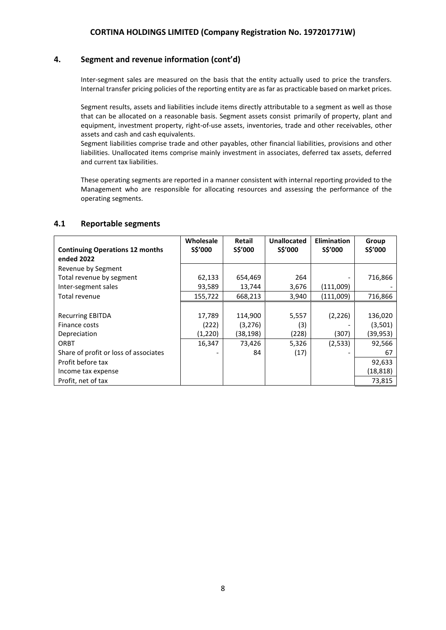### **4. Segment and revenue information (cont'd)**

Inter-segment sales are measured on the basis that the entity actually used to price the transfers. Internal transfer pricing policies of the reporting entity are as far as practicable based on market prices.

Segment results, assets and liabilities include items directly attributable to a segment as well as those that can be allocated on a reasonable basis. Segment assets consist primarily of property, plant and equipment, investment property, right-of-use assets, inventories, trade and other receivables, other assets and cash and cash equivalents.

Segment liabilities comprise trade and other payables, other financial liabilities, provisions and other liabilities. Unallocated items comprise mainly investment in associates, deferred tax assets, deferred and current tax liabilities.

These operating segments are reported in a manner consistent with internal reporting provided to the Management who are responsible for allocating resources and assessing the performance of the operating segments.

#### **4.1 Reportable segments**

|                                        | Wholesale | Retail    | <b>Unallocated</b> | <b>Elimination</b> | Group    |
|----------------------------------------|-----------|-----------|--------------------|--------------------|----------|
| <b>Continuing Operations 12 months</b> | S\$'000   | S\$'000   | S\$'000            | <b>S\$'000</b>     | S\$'000  |
| ended 2022                             |           |           |                    |                    |          |
| Revenue by Segment                     |           |           |                    |                    |          |
| Total revenue by segment               | 62,133    | 654,469   | 264                |                    | 716,866  |
| Inter-segment sales                    | 93,589    | 13,744    | 3,676              | (111,009)          |          |
| Total revenue                          | 155,722   | 668,213   | 3,940              | (111,009)          | 716,866  |
|                                        |           |           |                    |                    |          |
| <b>Recurring EBITDA</b>                | 17,789    | 114,900   | 5,557              | (2, 226)           | 136,020  |
| Finance costs                          | (222)     | (3, 276)  | (3)                |                    | (3,501)  |
| Depreciation                           | (1,220)   | (38, 198) | (228)              | (307)              | (39,953) |
| ORBT                                   | 16,347    | 73,426    | 5,326              | (2,533)            | 92,566   |
| Share of profit or loss of associates  |           | 84        | (17)               |                    | 67       |
| Profit before tax                      |           |           |                    |                    | 92,633   |
| Income tax expense                     |           |           |                    |                    | (18,818) |
| Profit, net of tax                     |           |           |                    |                    | 73,815   |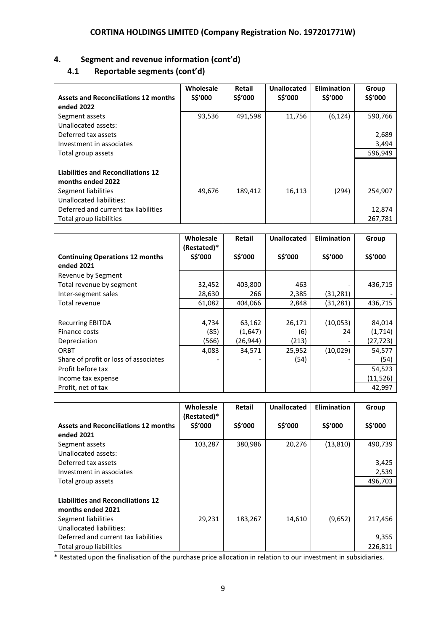# **4. Segment and revenue information (cont'd)**

# **4.1 Reportable segments (cont'd)**

| <b>Assets and Reconciliations 12 months</b><br>ended 2022                                                                                                 | Wholesale<br><b>S\$'000</b> | Retail<br>S\$'000 | Unallocated<br>S\$'000 | <b>Elimination</b><br>S\$'000 | Group<br>S\$'000  |
|-----------------------------------------------------------------------------------------------------------------------------------------------------------|-----------------------------|-------------------|------------------------|-------------------------------|-------------------|
| Segment assets<br>Unallocated assets:                                                                                                                     | 93,536                      | 491,598           | 11,756                 | (6, 124)                      | 590,766           |
| Deferred tax assets                                                                                                                                       |                             |                   |                        |                               | 2,689             |
| Investment in associates                                                                                                                                  |                             |                   |                        |                               | 3,494             |
| Total group assets                                                                                                                                        |                             |                   |                        |                               | 596,949           |
| <b>Liabilities and Reconciliations 12</b><br>months ended 2022<br>Segment liabilities<br>Unallocated liabilities:<br>Deferred and current tax liabilities | 49,676                      | 189,412           | 16,113                 | (294)                         | 254,907<br>12,874 |
| Total group liabilities                                                                                                                                   |                             |                   |                        |                               | 267,781           |

|                                                      | Wholesale<br>(Restated)* | <b>Retail</b> | Unallocated | <b>Elimination</b>       | Group     |
|------------------------------------------------------|--------------------------|---------------|-------------|--------------------------|-----------|
| <b>Continuing Operations 12 months</b><br>ended 2021 | S\$'000                  | S\$'000       | S\$'000     | S\$'000                  | S\$'000   |
| Revenue by Segment                                   |                          |               |             |                          |           |
| Total revenue by segment                             | 32,452                   | 403,800       | 463         |                          | 436,715   |
| Inter-segment sales                                  | 28,630                   | 266           | 2,385       | (31, 281)                |           |
| Total revenue                                        | 61,082                   | 404,066       | 2,848       | (31, 281)                | 436,715   |
|                                                      |                          |               |             |                          |           |
| <b>Recurring EBITDA</b>                              | 4,734                    | 63,162        | 26,171      | (10,053)                 | 84,014    |
| Finance costs                                        | (85)                     | (1,647)       | (6)         | 24                       | (1,714)   |
| Depreciation                                         | (566)                    | (26, 944)     | (213)       | $\overline{\phantom{a}}$ | (27, 723) |
| ORBT                                                 | 4,083                    | 34,571        | 25,952      | (10,029)                 | 54,577    |
| Share of profit or loss of associates                |                          |               | (54)        |                          | (54)      |
| Profit before tax                                    |                          |               |             |                          | 54,523    |
| Income tax expense                                   |                          |               |             |                          | (11,526)  |
| Profit, net of tax                                   |                          |               |             |                          | 42,997    |

|                                             | Wholesale<br>(Restated)* | <b>Retail</b> | Unallocated | <b>Elimination</b> | Group   |
|---------------------------------------------|--------------------------|---------------|-------------|--------------------|---------|
| <b>Assets and Reconciliations 12 months</b> | S\$'000                  | S\$'000       | S\$'000     | <b>SŚ'000</b>      | S\$'000 |
| ended 2021                                  |                          |               |             |                    |         |
| Segment assets                              | 103,287                  | 380,986       | 20,276      | (13, 810)          | 490,739 |
| Unallocated assets:                         |                          |               |             |                    |         |
| Deferred tax assets                         |                          |               |             |                    | 3,425   |
| Investment in associates                    |                          |               |             |                    | 2,539   |
| Total group assets                          |                          |               |             |                    | 496,703 |
|                                             |                          |               |             |                    |         |
| <b>Liabilities and Reconciliations 12</b>   |                          |               |             |                    |         |
| months ended 2021                           |                          |               |             |                    |         |
| Segment liabilities                         | 29,231                   | 183,267       | 14,610      | (9,652)            | 217,456 |
| Unallocated liabilities:                    |                          |               |             |                    |         |
| Deferred and current tax liabilities        |                          |               |             |                    | 9,355   |
| Total group liabilities                     |                          |               |             |                    | 226,811 |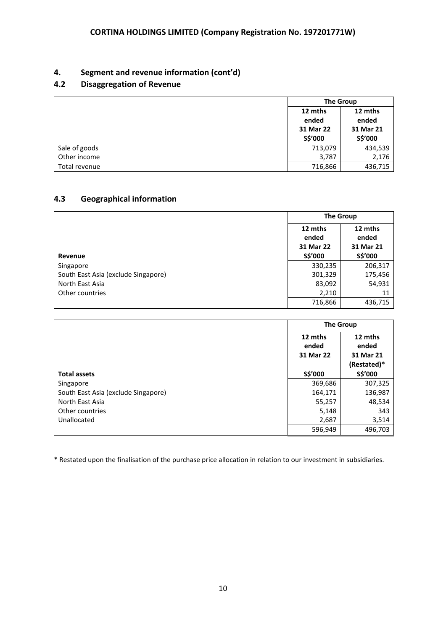# **4. Segment and revenue information (cont'd)**

# **4.2 Disaggregation of Revenue**

|               | <b>The Group</b>                         |                                          |  |
|---------------|------------------------------------------|------------------------------------------|--|
|               | 12 mths<br>ended<br>31 Mar 22<br>S\$'000 | 12 mths<br>ended<br>31 Mar 21<br>S\$'000 |  |
| Sale of goods | 713,079                                  | 434,539                                  |  |
| Other income  | 3,787                                    | 2,176                                    |  |
| Total revenue | 716,866                                  | 436,715                                  |  |

# **4.3 Geographical information**

|                                     | <b>The Group</b>              |                               |  |
|-------------------------------------|-------------------------------|-------------------------------|--|
|                                     | 12 mths<br>ended<br>31 Mar 22 | 12 mths<br>ended<br>31 Mar 21 |  |
| Revenue                             | S\$'000                       | S\$'000                       |  |
| Singapore                           | 330,235                       | 206,317                       |  |
| South East Asia (exclude Singapore) | 301,329                       | 175,456                       |  |
| North East Asia                     | 83,092                        | 54,931                        |  |
| Other countries                     | 2,210                         | 11                            |  |
|                                     | 716,866                       | 436,715                       |  |

|                                     | <b>The Group</b>              |                                              |  |
|-------------------------------------|-------------------------------|----------------------------------------------|--|
|                                     | 12 mths<br>ended<br>31 Mar 22 | 12 mths<br>ended<br>31 Mar 21<br>(Restated)* |  |
| <b>Total assets</b>                 | S\$'000                       | S\$'000                                      |  |
| Singapore                           | 369,686                       | 307,325                                      |  |
| South East Asia (exclude Singapore) | 164,171                       | 136,987                                      |  |
| North East Asia                     | 55,257                        | 48,534                                       |  |
| Other countries                     | 5,148                         | 343                                          |  |
| Unallocated                         | 2,687                         | 3,514                                        |  |
|                                     | 596,949                       | 496,703                                      |  |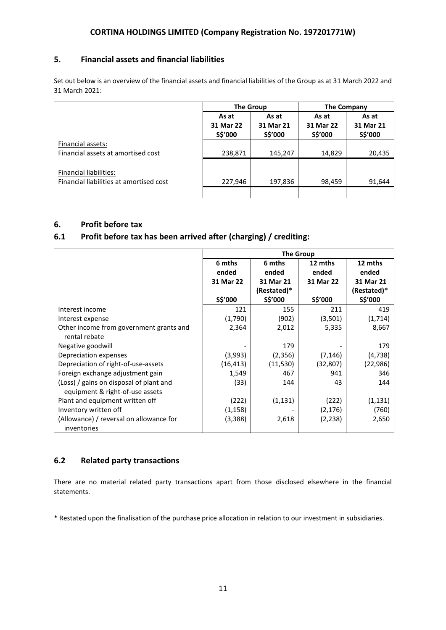# **5. Financial assets and financial liabilities**

Set out below is an overview of the financial assets and financial liabilities of the Group as at 31 March 2022 and 31 March 2021:

|                                                                   | <b>The Group</b>              |                               | The Company                   |                               |
|-------------------------------------------------------------------|-------------------------------|-------------------------------|-------------------------------|-------------------------------|
|                                                                   | As at<br>31 Mar 22<br>S\$'000 | As at<br>31 Mar 21<br>S\$'000 | As at<br>31 Mar 22<br>S\$'000 | As at<br>31 Mar 21<br>S\$'000 |
| Financial assets:<br>Financial assets at amortised cost           | 238,871                       | 145,247                       | 14,829                        | 20,435                        |
| Financial liabilities:<br>Financial liabilities at amortised cost | 227,946                       | 197,836                       | 98,459                        | 91,644                        |
|                                                                   |                               |                               |                               |                               |

# **6. Profit before tax**

# **6.1 Profit before tax has been arrived after (charging) / crediting:**

|                                                                            | <b>The Group</b> |               |           |               |  |
|----------------------------------------------------------------------------|------------------|---------------|-----------|---------------|--|
|                                                                            | 6 mths           | 6 mths        | 12 mths   | 12 mths       |  |
|                                                                            | ended            | ended         | ended     | ended         |  |
|                                                                            | 31 Mar 22        | 31 Mar 21     | 31 Mar 22 | 31 Mar 21     |  |
|                                                                            |                  | (Restated)*   |           | (Restated)*   |  |
|                                                                            | S\$'000          | <b>SŚ'000</b> | S\$'000   | <b>SŚ'000</b> |  |
| Interest income                                                            | 121              | 155           | 211       | 419           |  |
| Interest expense                                                           | (1,790)          | (902)         | (3,501)   | (1,714)       |  |
| Other income from government grants and<br>rental rebate                   | 2,364            | 2,012         | 5,335     | 8,667         |  |
| Negative goodwill                                                          |                  | 179           |           | 179           |  |
| Depreciation expenses                                                      | (3,993)          | (2,356)       | (7, 146)  | (4, 738)      |  |
| Depreciation of right-of-use-assets                                        | (16, 413)        | (11, 530)     | (32, 807) | (22, 986)     |  |
| Foreign exchange adjustment gain                                           | 1,549            | 467           | 941       | 346           |  |
| (Loss) / gains on disposal of plant and<br>equipment & right-of-use assets | (33)             | 144           | 43        | 144           |  |
| Plant and equipment written off                                            | (222)            | (1, 131)      | (222)     | (1, 131)      |  |
| Inventory written off                                                      | (1, 158)         |               | (2,176)   | (760)         |  |
| (Allowance) / reversal on allowance for                                    | (3,388)          | 2,618         | (2,238)   | 2,650         |  |
| inventories                                                                |                  |               |           |               |  |

# **6.2 Related party transactions**

There are no material related party transactions apart from those disclosed elsewhere in the financial statements.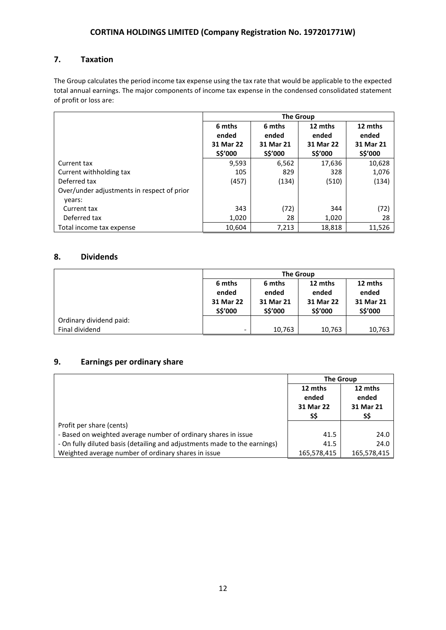# **7. Taxation**

The Group calculates the period income tax expense using the tax rate that would be applicable to the expected total annual earnings. The major components of income tax expense in the condensed consolidated statement of profit or loss are:

|                                                      | <b>The Group</b>     |                      |                      |                      |
|------------------------------------------------------|----------------------|----------------------|----------------------|----------------------|
|                                                      | 6 mths<br>ended      | 6 mths<br>ended      | 12 mths<br>ended     | 12 mths<br>ended     |
|                                                      | 31 Mar 22<br>S\$'000 | 31 Mar 21<br>S\$'000 | 31 Mar 22<br>S\$'000 | 31 Mar 21<br>S\$'000 |
| Current tax                                          | 9,593                | 6,562                | 17,636               | 10,628               |
| Current withholding tax                              | 105                  | 829                  | 328                  | 1,076                |
| Deferred tax                                         | (457)                | (134)                | (510)                | (134)                |
| Over/under adjustments in respect of prior<br>years: |                      |                      |                      |                      |
| Current tax                                          | 343                  | (72)                 | 344                  | (72)                 |
| Deferred tax                                         | 1,020                | 28                   | 1,020                | 28                   |
| Total income tax expense                             | 10,604               | 7,213                | 18,818               | 11,526               |

# **8. Dividends**

|                         | <b>The Group</b>                              |                                         |                                          |                                          |
|-------------------------|-----------------------------------------------|-----------------------------------------|------------------------------------------|------------------------------------------|
|                         | 6 mths<br>ended<br>31 Mar 22<br><b>SŚ'000</b> | 6 mths<br>ended<br>31 Mar 21<br>S\$'000 | 12 mths<br>ended<br>31 Mar 22<br>S\$'000 | 12 mths<br>ended<br>31 Mar 21<br>S\$'000 |
| Ordinary dividend paid: |                                               |                                         |                                          |                                          |
| Final dividend          | $\qquad \qquad \blacksquare$                  | 10,763                                  | 10,763                                   | 10,763                                   |

# **9. Earnings per ordinary share**

|                                                                           | <b>The Group</b>                    |                                      |
|---------------------------------------------------------------------------|-------------------------------------|--------------------------------------|
|                                                                           | 12 mths<br>ended<br>31 Mar 22<br>SS | 12 mths<br>ended<br>31 Mar 21<br>S\$ |
| Profit per share (cents)                                                  |                                     |                                      |
| - Based on weighted average number of ordinary shares in issue            | 41.5                                | 24.0                                 |
| - On fully diluted basis (detailing and adjustments made to the earnings) | 41.5                                | 24.0                                 |
| Weighted average number of ordinary shares in issue                       | 165,578,415                         | 165,578,415                          |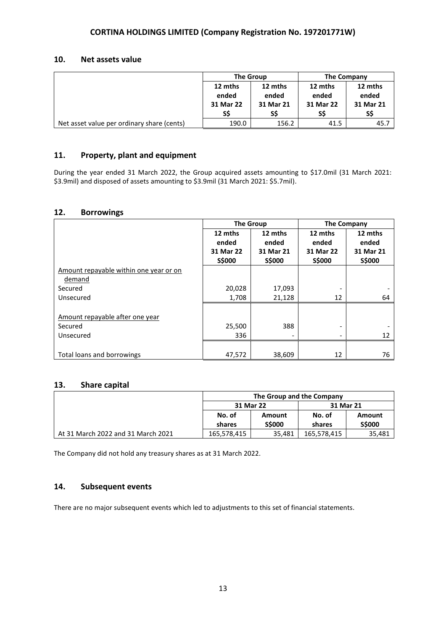### **10. Net assets value**

|                                            | <b>The Group</b> |           | <b>The Company</b> |           |
|--------------------------------------------|------------------|-----------|--------------------|-----------|
|                                            | 12 mths          | 12 mths   | 12 mths            | 12 mths   |
|                                            | ended            | ended     | ended              | ended     |
|                                            | 31 Mar 22        | 31 Mar 21 | 31 Mar 22          | 31 Mar 21 |
|                                            | SS               | SS        | S\$                | S\$       |
| Net asset value per ordinary share (cents) | 190.0            | 156.2     | 41.5               | 45.7      |

# **11. Property, plant and equipment**

During the year ended 31 March 2022, the Group acquired assets amounting to \$17.0mil (31 March 2021: \$3.9mil) and disposed of assets amounting to \$3.9mil (31 March 2021: \$5.7mil).

#### **12. Borrowings**

|                                        | <b>The Group</b> |                              | <b>The Company</b> |               |
|----------------------------------------|------------------|------------------------------|--------------------|---------------|
|                                        | 12 mths          | 12 mths                      | 12 mths            | 12 mths       |
|                                        | ended            | ended                        | ended              | ended         |
|                                        | 31 Mar 22        | 31 Mar 21                    | 31 Mar 22          | 31 Mar 21     |
|                                        | <b>S\$000</b>    | <b>S\$000</b>                | <b>S\$000</b>      | <b>S\$000</b> |
| Amount repayable within one year or on |                  |                              |                    |               |
| demand                                 |                  |                              |                    |               |
| Secured                                | 20,028           | 17,093                       |                    |               |
| Unsecured                              | 1,708            | 21,128                       | 12                 | 64            |
|                                        |                  |                              |                    |               |
| Amount repayable after one year        |                  |                              |                    |               |
| Secured                                | 25,500           | 388                          | -                  |               |
| Unsecured                              | 336              | $\qquad \qquad \blacksquare$ |                    | 12            |
|                                        |                  |                              |                    |               |
| Total loans and borrowings             | 47,572           | 38,609                       | 12                 | 76            |

### **13. Share capital**

|                                    | The Group and the Company |                         |                  |                         |
|------------------------------------|---------------------------|-------------------------|------------------|-------------------------|
|                                    | 31 Mar 22                 |                         | 31 Mar 21        |                         |
|                                    | No. of<br>shares          | Amount<br><b>S\$000</b> | No. of<br>shares | Amount<br><b>S\$000</b> |
| At 31 March 2022 and 31 March 2021 | 165,578,415               | 35.481                  | 165,578,415      | 35,481                  |

The Company did not hold any treasury shares as at 31 March 2022.

# **14. Subsequent events**

There are no major subsequent events which led to adjustments to this set of financial statements.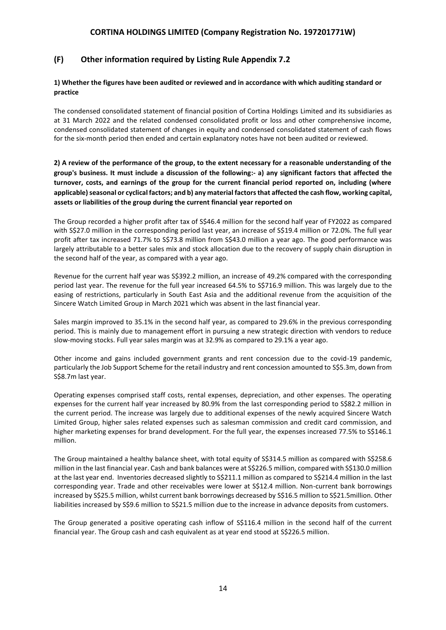## **(F) Other information required by Listing Rule Appendix 7.2**

#### **1) Whether the figures have been audited or reviewed and in accordance with which auditing standard or practice**

The condensed consolidated statement of financial position of Cortina Holdings Limited and its subsidiaries as at 31 March 2022 and the related condensed consolidated profit or loss and other comprehensive income, condensed consolidated statement of changes in equity and condensed consolidated statement of cash flows for the six-month period then ended and certain explanatory notes have not been audited or reviewed.

**2) A review of the performance of the group, to the extent necessary for a reasonable understanding of the group's business. It must include a discussion of the following:- a) any significant factors that affected the turnover, costs, and earnings of the group for the current financial period reported on, including (where applicable) seasonal or cyclical factors; and b) any material factors that affected the cash flow, working capital, assets or liabilities of the group during the current financial year reported on**

The Group recorded a higher profit after tax of S\$46.4 million for the second half year of FY2022 as compared with S\$27.0 million in the corresponding period last year, an increase of S\$19.4 million or 72.0%. The full year profit after tax increased 71.7% to S\$73.8 million from S\$43.0 million a year ago. The good performance was largely attributable to a better sales mix and stock allocation due to the recovery of supply chain disruption in the second half of the year, as compared with a year ago.

Revenue for the current half year was S\$392.2 million, an increase of 49.2% compared with the corresponding period last year. The revenue for the full year increased 64.5% to S\$716.9 million. This was largely due to the easing of restrictions, particularly in South East Asia and the additional revenue from the acquisition of the Sincere Watch Limited Group in March 2021 which was absent in the last financial year.

Sales margin improved to 35.1% in the second half year, as compared to 29.6% in the previous corresponding period. This is mainly due to management effort in pursuing a new strategic direction with vendors to reduce slow-moving stocks. Full year sales margin was at 32.9% as compared to 29.1% a year ago.

Other income and gains included government grants and rent concession due to the covid-19 pandemic, particularly the Job Support Scheme for the retail industry and rent concession amounted to S\$5.3m, down from S\$8.7m last year.

Operating expenses comprised staff costs, rental expenses, depreciation, and other expenses. The operating expenses for the current half year increased by 80.9% from the last corresponding period to S\$82.2 million in the current period. The increase was largely due to additional expenses of the newly acquired Sincere Watch Limited Group, higher sales related expenses such as salesman commission and credit card commission, and higher marketing expenses for brand development. For the full year, the expenses increased 77.5% to S\$146.1 million.

The Group maintained a healthy balance sheet, with total equity of S\$314.5 million as compared with S\$258.6 million in the last financial year. Cash and bank balances were at S\$226.5 million, compared with S\$130.0 million at the last year end. Inventories decreased slightly to S\$211.1 million as compared to S\$214.4 million in the last corresponding year. Trade and other receivables were lower at S\$12.4 million. Non-current bank borrowings increased by S\$25.5 million, whilst current bank borrowings decreased by S\$16.5 million to S\$21.5million. Other liabilities increased by S\$9.6 million to S\$21.5 million due to the increase in advance deposits from customers.

The Group generated a positive operating cash inflow of S\$116.4 million in the second half of the current financial year. The Group cash and cash equivalent as at year end stood at S\$226.5 million.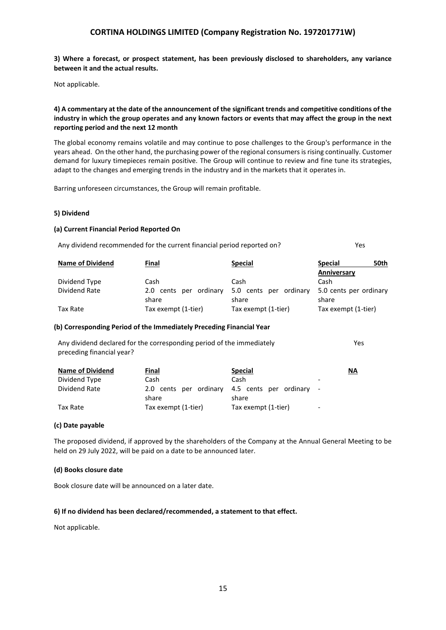**3) Where a forecast, or prospect statement, has been previously disclosed to shareholders, any variance between it and the actual results.**

Not applicable.

#### **4) A commentary at the date of the announcement of the significant trends and competitive conditions of the industry in which the group operates and any known factors or events that may affect the group in the next reporting period and the next 12 month**

The global economy remains volatile and may continue to pose challenges to the Group's performance in the years ahead. On the other hand, the purchasing power of the regional consumers is rising continually. Customer demand for luxury timepieces remain positive. The Group will continue to review and fine tune its strategies, adapt to the changes and emerging trends in the industry and in the markets that it operates in.

Barring unforeseen circumstances, the Group will remain profitable.

#### **5) Dividend**

#### **(a) Current Financial Period Reported On**

Any dividend recommended for the current financial period reported on? Yes

| <b>Name of Dividend</b> | Final                           | <b>Special</b>                  | 50th<br><b>Special</b>          |
|-------------------------|---------------------------------|---------------------------------|---------------------------------|
|                         |                                 |                                 | Anniversary                     |
| Dividend Type           | Cash                            | Cash                            | Cash                            |
| Dividend Rate           | 2.0 cents per ordinary<br>share | 5.0 cents per ordinary<br>share | 5.0 cents per ordinary<br>share |
| Tax Rate                | Tax exempt (1-tier)             | Tax exempt (1-tier)             | Tax exempt (1-tier)             |

#### **(b) Corresponding Period of the Immediately Preceding Financial Year**

Any dividend declared for the corresponding period of the immediately preceding financial year? Yes

| <b>Name of Dividend</b> | Final               | <b>Special</b>                                           | ΝA                       |
|-------------------------|---------------------|----------------------------------------------------------|--------------------------|
| Dividend Type           | Cash                | Cash                                                     | $\overline{\phantom{0}}$ |
| Dividend Rate           | share               | 2.0 cents per ordinary 4.5 cents per ordinary -<br>share |                          |
| Tax Rate                | Tax exempt (1-tier) | Tax exempt (1-tier)                                      | -                        |

#### **(c) Date payable**

The proposed dividend, if approved by the shareholders of the Company at the Annual General Meeting to be held on 29 July 2022, will be paid on a date to be announced later.

#### **(d) Books closure date**

Book closure date will be announced on a later date.

#### **6) If no dividend has been declared/recommended, a statement to that effect.**

Not applicable.